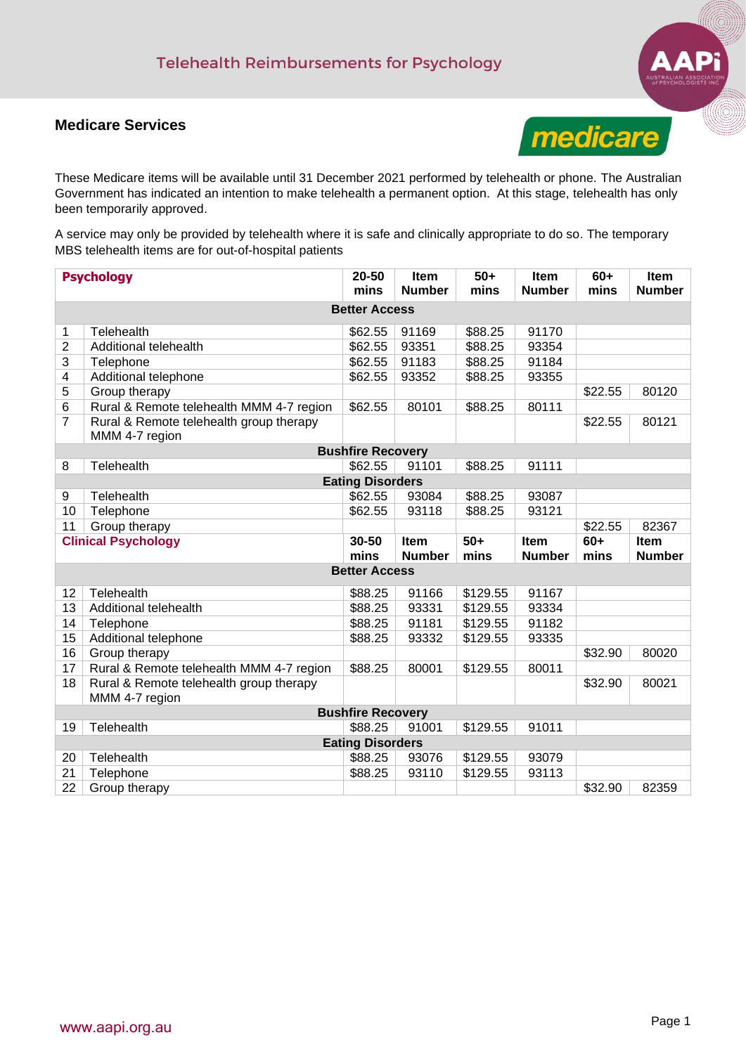#### **Medicare Services**



These Medicare items will be available until 31 December 2021 performed by telehealth or phone. The Australian Government has indicated an intention to make telehealth a permanent option. At this stage, telehealth has only been temporarily approved.

A service may only be provided by telehealth where it is safe and clinically appropriate to do so. The temporary MBS telehealth items are for out-of-hospital patients

| <b>Psychology</b> |                                          | 20-50<br>mins            | Item<br><b>Number</b> | $50+$<br>mins | Item<br><b>Number</b> | $60+$<br>mins | Item<br><b>Number</b> |  |  |
|-------------------|------------------------------------------|--------------------------|-----------------------|---------------|-----------------------|---------------|-----------------------|--|--|
|                   | <b>Better Access</b>                     |                          |                       |               |                       |               |                       |  |  |
|                   |                                          |                          |                       |               |                       |               |                       |  |  |
| 1                 | Telehealth                               | \$62.55                  | 91169                 | \$88.25       | 91170                 |               |                       |  |  |
| $\overline{2}$    | Additional telehealth                    | \$62.55                  | 93351                 | \$88.25       | 93354                 |               |                       |  |  |
| 3                 | Telephone                                | \$62.55                  | 91183                 | \$88.25       | 91184                 |               |                       |  |  |
| 4                 | Additional telephone                     | \$62.55                  | 93352                 | \$88.25       | 93355                 |               |                       |  |  |
| 5                 | Group therapy                            |                          |                       |               |                       | \$22.55       | 80120                 |  |  |
| 6                 | Rural & Remote telehealth MMM 4-7 region | \$62.55                  | 80101                 | \$88.25       | 80111                 |               |                       |  |  |
| $\overline{7}$    | Rural & Remote telehealth group therapy  |                          |                       |               |                       | \$22.55       | 80121                 |  |  |
|                   | MMM 4-7 region                           |                          |                       |               |                       |               |                       |  |  |
|                   | <b>Bushfire Recovery</b>                 |                          |                       |               |                       |               |                       |  |  |
| 8                 | Telehealth                               | \$62.55                  | 91101                 | \$88.25       | 91111                 |               |                       |  |  |
|                   |                                          | <b>Eating Disorders</b>  |                       |               |                       |               |                       |  |  |
| 9                 | Telehealth                               | \$62.55                  | 93084                 | \$88.25       | 93087                 |               |                       |  |  |
| 10                | Telephone                                | \$62.55                  | 93118                 | \$88.25       | 93121                 |               |                       |  |  |
| 11                | Group therapy                            |                          |                       |               |                       | \$22.55       | 82367                 |  |  |
|                   |                                          |                          |                       |               |                       |               |                       |  |  |
|                   | <b>Clinical Psychology</b>               | 30-50                    | Item                  | $50+$         | <b>Item</b>           | $60+$         | Item                  |  |  |
|                   |                                          | mins                     | <b>Number</b>         | mins          | <b>Number</b>         | mins          | <b>Number</b>         |  |  |
|                   |                                          | <b>Better Access</b>     |                       |               |                       |               |                       |  |  |
| 12                | Telehealth                               | \$88.25                  | 91166                 | \$129.55      | 91167                 |               |                       |  |  |
| 13                | Additional telehealth                    | \$88.25                  | 93331                 | \$129.55      | 93334                 |               |                       |  |  |
| 14                | Telephone                                | \$88.25                  | 91181                 | \$129.55      | 91182                 |               |                       |  |  |
| 15                | Additional telephone                     | \$88.25                  | 93332                 | \$129.55      | 93335                 |               |                       |  |  |
| 16                | Group therapy                            |                          |                       |               |                       | \$32.90       | 80020                 |  |  |
| 17                | Rural & Remote telehealth MMM 4-7 region | \$88.25                  | 80001                 | \$129.55      | 80011                 |               |                       |  |  |
| 18                | Rural & Remote telehealth group therapy  |                          |                       |               |                       | \$32.90       | 80021                 |  |  |
|                   | MMM 4-7 region                           |                          |                       |               |                       |               |                       |  |  |
|                   |                                          | <b>Bushfire Recovery</b> |                       |               |                       |               |                       |  |  |
| 19                | Telehealth                               | \$88.25                  | 91001                 | \$129.55      | 91011                 |               |                       |  |  |
|                   |                                          | <b>Eating Disorders</b>  |                       |               |                       |               |                       |  |  |
| 20                | Telehealth                               | \$88.25                  | 93076                 | \$129.55      | 93079                 |               |                       |  |  |
| 21<br>22          | Telephone<br>Group therapy               | \$88.25                  | 93110                 | \$129.55      | 93113                 | \$32.90       | 82359                 |  |  |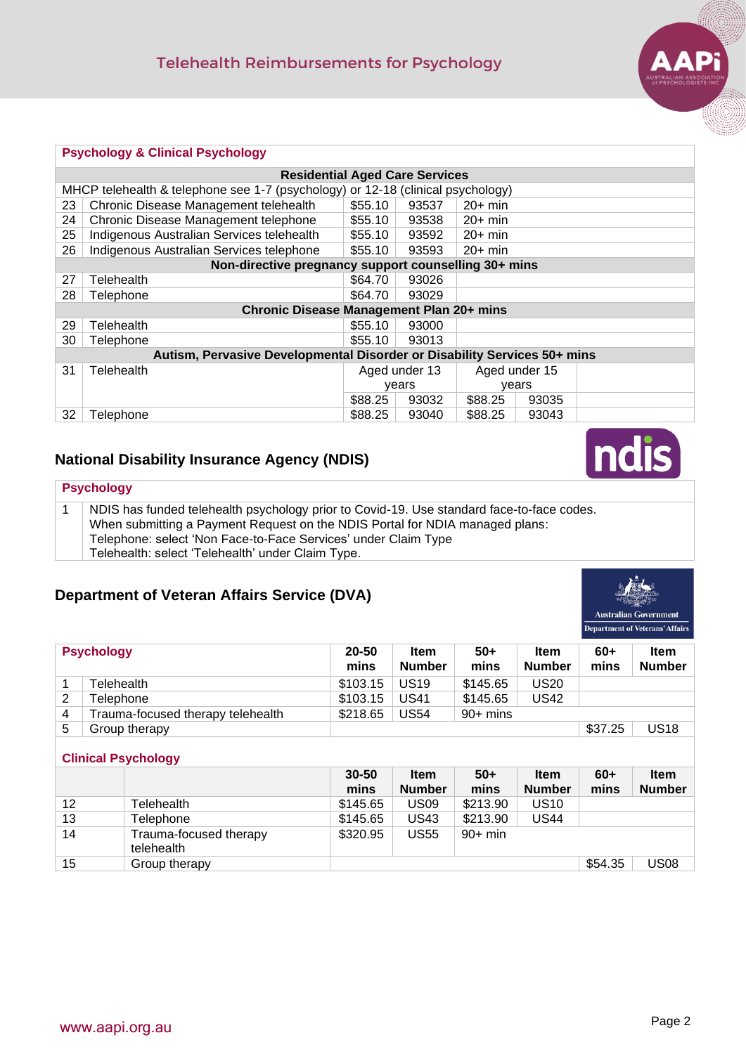

| <b>Psychology &amp; Clinical Psychology</b>                                     |                                           |               |       |               |       |  |  |
|---------------------------------------------------------------------------------|-------------------------------------------|---------------|-------|---------------|-------|--|--|
| <b>Residential Aged Care Services</b>                                           |                                           |               |       |               |       |  |  |
| MHCP telehealth & telephone see 1-7 (psychology) or 12-18 (clinical psychology) |                                           |               |       |               |       |  |  |
| 23                                                                              | Chronic Disease Management telehealth     | \$55.10       | 93537 | $20+$ min     |       |  |  |
| 24                                                                              | Chronic Disease Management telephone      | \$55.10       | 93538 | $20+ min$     |       |  |  |
| 25                                                                              | Indigenous Australian Services telehealth | \$55.10       | 93592 | $20+ min$     |       |  |  |
| 26                                                                              | Indigenous Australian Services telephone  | \$55.10       | 93593 | $20+ min$     |       |  |  |
| Non-directive pregnancy support counselling 30+ mins                            |                                           |               |       |               |       |  |  |
| 27                                                                              | Telehealth                                | \$64.70       | 93026 |               |       |  |  |
| 28                                                                              | Telephone                                 | \$64.70       | 93029 |               |       |  |  |
| Chronic Disease Management Plan 20+ mins                                        |                                           |               |       |               |       |  |  |
| 29                                                                              | Telehealth                                | \$55.10       | 93000 |               |       |  |  |
| 30                                                                              | Telephone                                 | \$55.10       | 93013 |               |       |  |  |
| Autism, Pervasive Developmental Disorder or Disability Services 50+ mins        |                                           |               |       |               |       |  |  |
| 31                                                                              | Telehealth                                | Aged under 13 |       | Aged under 15 |       |  |  |
|                                                                                 |                                           | years         |       | years         |       |  |  |
|                                                                                 |                                           | \$88.25       | 93032 | \$88.25       | 93035 |  |  |
| 32                                                                              | Telephone                                 | \$88.25       | 93040 | \$88.25       | 93043 |  |  |

# **National Disability Insurance Agency (NDIS)**

# **Psychology**

1 | NDIS has funded telehealth psychology prior to Covid-19. Use standard face-to-face codes. When submitting a Payment Request on the NDIS Portal for NDIA managed plans: Telephone: select 'Non Face-to-Face Services' under Claim Type Telehealth: select 'Telehealth' under Claim Type.

### **Department of Veteran Affairs Service (DVA)**

| <b>Psychology</b>          |            | $20 - 50$<br>mins                 | <b>Item</b><br><b>Number</b> | $50+$<br>mins                | <b>Item</b><br><b>Number</b> | 60+<br>mins                  | <b>Item</b><br><b>Number</b> |                              |
|----------------------------|------------|-----------------------------------|------------------------------|------------------------------|------------------------------|------------------------------|------------------------------|------------------------------|
|                            | Telehealth |                                   | \$103.15                     | <b>US19</b>                  | \$145.65                     | <b>US20</b>                  |                              |                              |
| 2                          | Telephone  |                                   | \$103.15                     | <b>US41</b>                  | \$145.65                     | <b>US42</b>                  |                              |                              |
| 4                          |            | Trauma-focused therapy telehealth | \$218.65                     | <b>US54</b>                  | $90+$ mins                   |                              |                              |                              |
| 5                          |            | Group therapy                     |                              | \$37.25                      |                              |                              |                              | <b>US18</b>                  |
| <b>Clinical Psychology</b> |            |                                   |                              |                              |                              |                              |                              |                              |
|                            |            |                                   | $30 - 50$<br>mins            | <b>Item</b><br><b>Number</b> | $50+$<br>mins                | <b>Item</b><br><b>Number</b> | $60+$<br>mins                | <b>Item</b><br><b>Number</b> |
| 12                         |            | Telehealth                        | \$145.65                     | <b>US09</b>                  | \$213.90                     | <b>US10</b>                  |                              |                              |
| 13                         |            | Telephone                         | \$145.65                     | <b>US43</b>                  | \$213.90                     | <b>US44</b>                  |                              |                              |

15 Group therapy **15 Group therapy 15** Group therapy **154.35** US08

\$320.95 | US55 | 90+ min

14 Trauma-focused therapy telehealth